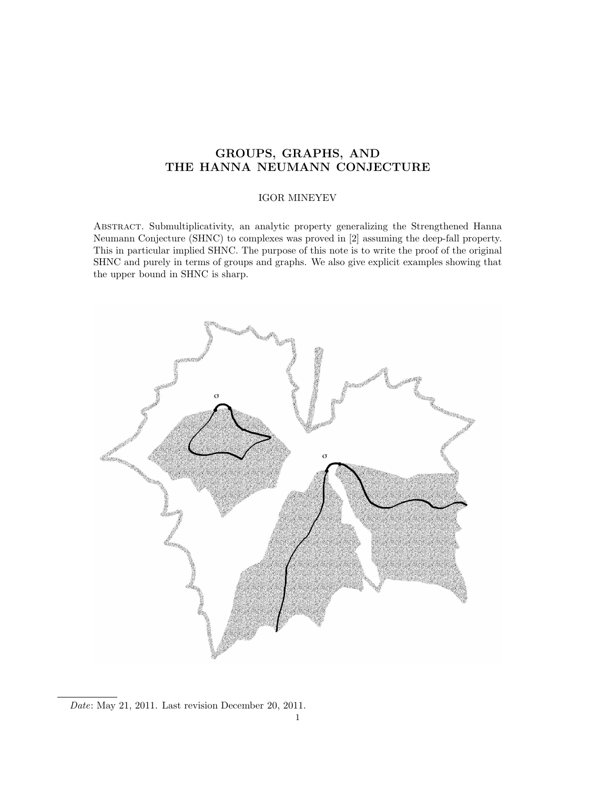# GROUPS, GRAPHS, AND THE HANNA NEUMANN CONJECTURE

## IGOR MINEYEV

Abstract. Submultiplicativity, an analytic property generalizing the Strengthened Hanna Neumann Conjecture (SHNC) to complexes was proved in [2] assuming the deep-fall property. This in particular implied SHNC. The purpose of this note is to write the proof of the original SHNC and purely in terms of groups and graphs. We also give explicit examples showing that the upper bound in SHNC is sharp.



Date: May 21, 2011. Last revision December 20, 2011.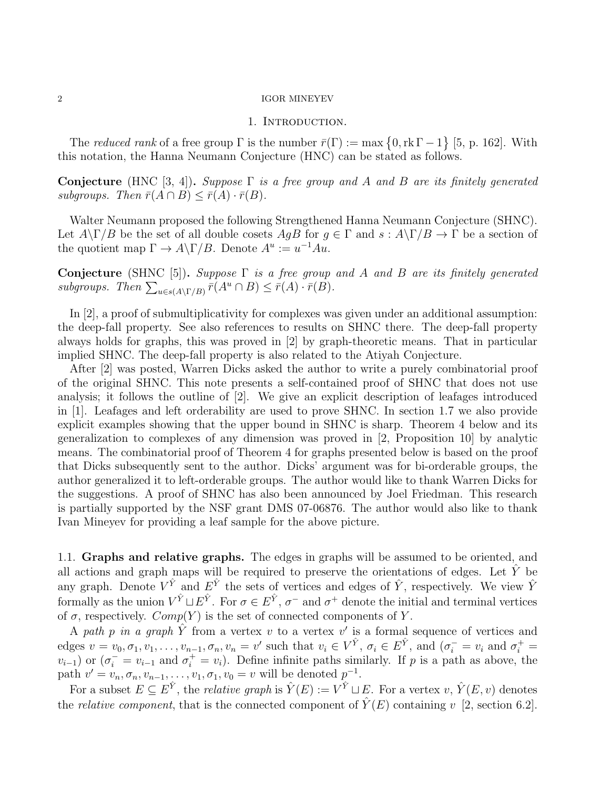## 1. INTRODUCTION.

The reduced rank of a free group  $\Gamma$  is the number  $\bar{r}(\Gamma) := \max\{0, \text{rk } \Gamma - 1\}$  [5, p. 162]. With this notation, the Hanna Neumann Conjecture (HNC) can be stated as follows.

Conjecture (HNC [3, 4]). Suppose  $\Gamma$  is a free group and A and B are its finitely generated subgroups. Then  $\bar{r}(A \cap B) \leq \bar{r}(A) \cdot \bar{r}(B)$ .

Walter Neumann proposed the following Strengthened Hanna Neumann Conjecture (SHNC). Let  $A\backslash\Gamma/B$  be the set of all double cosets  $AgB$  for  $g \in \Gamma$  and  $s : A\backslash\Gamma/B \to \Gamma$  be a section of the quotient map  $\Gamma \to A \backslash \Gamma / B$ . Denote  $A^u := u^{-1} A u$ .

Conjecture (SHNC [5]). Suppose  $\Gamma$  is a free group and A and B are its finitely generated subgroups. Then  $\sum_{u \in s(A \setminus \Gamma/B)} \bar{r}(A^u \cap B) \leq \bar{r}(A) \cdot \bar{r}(B)$ .

In [2], a proof of submultiplicativity for complexes was given under an additional assumption: the deep-fall property. See also references to results on SHNC there. The deep-fall property always holds for graphs, this was proved in [2] by graph-theoretic means. That in particular implied SHNC. The deep-fall property is also related to the Atiyah Conjecture.

After [2] was posted, Warren Dicks asked the author to write a purely combinatorial proof of the original SHNC. This note presents a self-contained proof of SHNC that does not use analysis; it follows the outline of [2]. We give an explicit description of leafages introduced in [1]. Leafages and left orderability are used to prove SHNC. In section 1.7 we also provide explicit examples showing that the upper bound in SHNC is sharp. Theorem 4 below and its generalization to complexes of any dimension was proved in [2, Proposition 10] by analytic means. The combinatorial proof of Theorem 4 for graphs presented below is based on the proof that Dicks subsequently sent to the author. Dicks' argument was for bi-orderable groups, the author generalized it to left-orderable groups. The author would like to thank Warren Dicks for the suggestions. A proof of SHNC has also been announced by Joel Friedman. This research is partially supported by the NSF grant DMS 07-06876. The author would also like to thank Ivan Mineyev for providing a leaf sample for the above picture.

1.1. Graphs and relative graphs. The edges in graphs will be assumed to be oriented, and all actions and graph maps will be required to preserve the orientations of edges. Let  $\hat{Y}$  be any graph. Denote  $V^{\hat{Y}}$  and  $E^{\hat{Y}}$  the sets of vertices and edges of  $\hat{Y}$ , respectively. We view  $\hat{Y}$ formally as the union  $V^{\hat{Y}} \sqcup E^{\hat{Y}}$ . For  $\sigma \in E^{\hat{Y}}$ ,  $\sigma^-$  and  $\sigma^+$  denote the initial and terminal vertices of  $\sigma$ , respectively.  $Comp(Y)$  is the set of connected components of Y.

A path p in a graph  $\hat{Y}$  from a vertex v to a vertex v' is a formal sequence of vertices and edges  $v = v_0, \sigma_1, v_1, \ldots, v_{n-1}, \sigma_n, v_n = v'$  such that  $v_i \in V^{\hat{Y}}, \sigma_i \in E^{\hat{Y}},$  and  $(\sigma_i^- = v_i \text{ and } \sigma_i^+ =$  $v_{i-1}$ ) or  $(\sigma_i^- = v_{i-1}$  and  $\sigma_i^+ = v_i)$ . Define infinite paths similarly. If p is a path as above, the path  $v' = v_n, \sigma_n, v_{n-1}, \ldots, v_1, \sigma_1, v_0 = v$  will be denoted  $p^{-1}$ .

For a subset  $E \subseteq E^{\hat{Y}}$ , the *relative graph* is  $\hat{Y}(E) := V^{\hat{Y}} \sqcup E$ . For a vertex  $v, \hat{Y}(E, v)$  denotes the *relative component*, that is the connected component of  $\hat{Y}(E)$  containing v [2, section 6.2].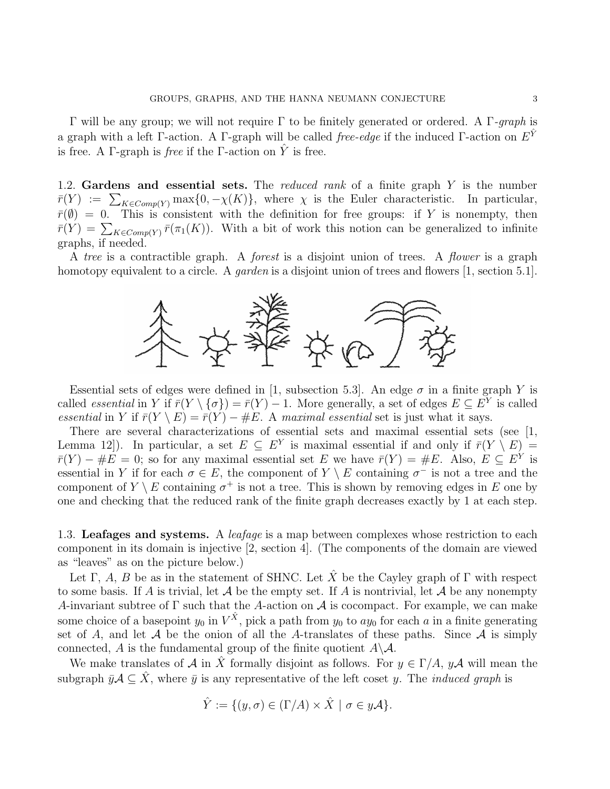Γ will be any group; we will not require Γ to be finitely generated or ordered. A Γ-graph is a graph with a left Γ-action. A Γ-graph will be called free-edge if the induced Γ-action on  $E^{\hat{Y}}$ is free. A Γ-graph is *free* if the Γ-action on  $\hat{Y}$  is free.

1.2. Gardens and essential sets. The *reduced rank* of a finite graph  $Y$  is the number  $\bar{r}(Y) := \sum_{K \in Comp(Y)} \max\{0, -\chi(K)\},\$  where  $\chi$  is the Euler characteristic. In particular,  $\bar{r}(\emptyset) = 0$ . This is consistent with the definition for free groups: if Y is nonempty, then  $\bar{r}(Y) = \sum_{K \in Comp(Y)} \bar{r}(\pi_1(K))$ . With a bit of work this notion can be generalized to infinite graphs, if needed.

A tree is a contractible graph. A *forest* is a disjoint union of trees. A *flower* is a graph homotopy equivalent to a circle. A *garden* is a disjoint union of trees and flowers [1, section 5.1].



Essential sets of edges were defined in [1, subsection 5.3]. An edge  $\sigma$  in a finite graph Y is called *essential* in Y if  $\bar{r}(Y \setminus {\{\sigma\}}) = \bar{r}(Y) - 1$ . More generally, a set of edges  $E \subseteq E^Y$  is called essential in Y if  $\bar{r}(Y \setminus E) = \bar{r}(Y) - \#E$ . A maximal essential set is just what it says.

There are several characterizations of essential sets and maximal essential sets (see [1, Lemma 12. In particular, a set  $E \subseteq E^Y$  is maximal essential if and only if  $\bar{r}(Y \setminus E) =$  $\bar{r}(Y) - \#E = 0$ ; so for any maximal essential set E we have  $\bar{r}(Y) = \#E$ . Also,  $E \subseteq E^Y$  is essential in Y if for each  $\sigma \in E$ , the component of  $Y \setminus E$  containing  $\sigma^-$  is not a tree and the component of  $Y \setminus E$  containing  $\sigma^+$  is not a tree. This is shown by removing edges in E one by one and checking that the reduced rank of the finite graph decreases exactly by 1 at each step.

1.3. Leafages and systems. A *leafage* is a map between complexes whose restriction to each component in its domain is injective [2, section 4]. (The components of the domain are viewed as "leaves" as on the picture below.)

Let Γ, A, B be as in the statement of SHNC. Let  $\hat{X}$  be the Cayley graph of Γ with respect to some basis. If A is trivial, let A be the empty set. If A is nontrivial, let A be any nonempty A-invariant subtree of  $\Gamma$  such that the A-action on A is cocompact. For example, we can make some choice of a basepoint  $y_0$  in  $V^{\hat{X}}$ , pick a path from  $y_0$  to  $ay_0$  for each a in a finite generating set of A, and let A be the onion of all the A-translates of these paths. Since A is simply connected, A is the fundamental group of the finite quotient  $A \setminus A$ .

We make translates of A in  $\hat{X}$  formally disjoint as follows. For  $y \in \Gamma/A$ ,  $y\mathcal{A}$  will mean the subgraph  $\bar{y}A \subseteq \hat{X}$ , where  $\bar{y}$  is any representative of the left coset y. The *induced graph* is

$$
\hat{Y} := \{ (y, \sigma) \in (\Gamma/A) \times \hat{X} \mid \sigma \in y\mathcal{A} \}.
$$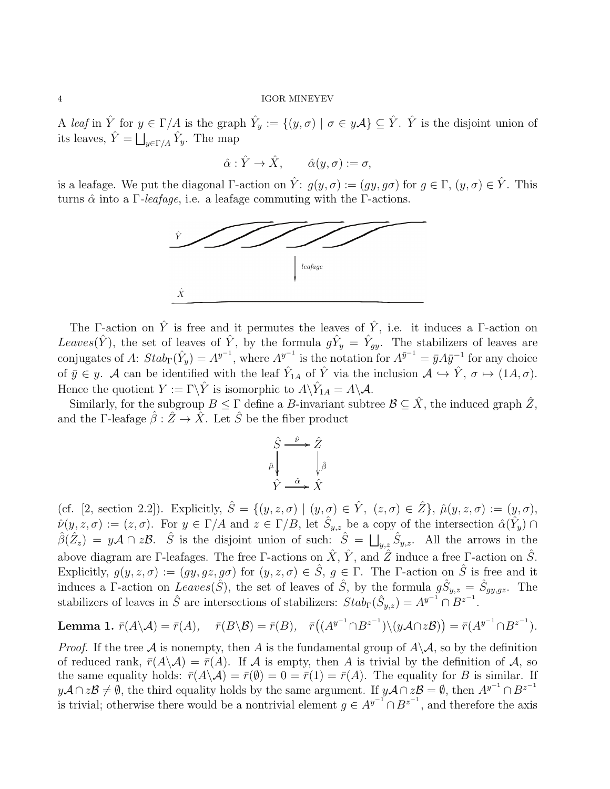A leaf in  $\hat{Y}$  for  $y \in \Gamma/A$  is the graph  $\hat{Y}_y := \{(y, \sigma) \mid \sigma \in y\mathcal{A}\}\subseteq \hat{Y}$ .  $\hat{Y}$  is the disjoint union of its leaves,  $\hat{Y} = \bigsqcup_{y \in \Gamma/A} \hat{Y}_y$ . The map

$$
\hat{\alpha} : \hat{Y} \to \hat{X}, \qquad \hat{\alpha}(y, \sigma) := \sigma,
$$

is a leafage. We put the diagonal Γ-action on  $\hat{Y}$ :  $q(y, \sigma) := (qy, q\sigma)$  for  $q \in \Gamma$ ,  $(y, \sigma) \in \hat{Y}$ . This turns  $\hat{\alpha}$  into a Γ-leafage, i.e. a leafage commuting with the Γ-actions.



The Γ-action on  $\hat{Y}$  is free and it permutes the leaves of  $\hat{Y}$ , i.e. it induces a Γ-action on Leaves( $\hat{Y}$ ), the set of leaves of  $\hat{Y}$ , by the formula  $g\hat{Y}_y = \hat{Y}_{gy}$ . The stabilizers of leaves are conjugates of A:  $Stab_{\Gamma}(\hat{Y}_y) = A^{y^{-1}}$ , where  $A^{y^{-1}}$  is the notation for  $A^{\bar{y}^{-1}} = \bar{y}A\bar{y}^{-1}$  for any choice of  $\bar{y} \in y$ . A can be identified with the leaf  $\hat{Y}_{1A}$  of  $\hat{Y}$  via the inclusion  $\mathcal{A} \hookrightarrow \hat{Y}, \sigma \mapsto (1\mathcal{A}, \sigma)$ . Hence the quotient  $Y := \Gamma \backslash \hat{Y}$  is isomorphic to  $A \backslash \hat{Y}_{1A} = A \backslash \mathcal{A}$ .

Similarly, for the subgroup  $B \leq \Gamma$  define a B-invariant subtree  $\mathcal{B} \subseteq \hat{X}$ , the induced graph  $\hat{Z}$ , and the Γ-leafage  $\hat{\beta}$  :  $\hat{Z} \rightarrow \hat{X}$ . Let  $\hat{S}$  be the fiber product

$$
\hat{S} \xrightarrow{\hat{\nu}} \hat{Z}
$$
\n
$$
\hat{\mu} \downarrow \qquad \downarrow \hat{\beta}
$$
\n
$$
\hat{Y} \xrightarrow{\hat{\alpha}} \hat{X}
$$

(cf. [2, section 2.2]). Explicitly,  $\hat{S} = \{(y, z, \sigma) | (y, \sigma) \in \hat{Y}, (z, \sigma) \in \hat{Z}\}, \hat{\mu}(y, z, \sigma) := (y, \sigma),$  $\hat{\nu}(y, z, \sigma) := (z, \sigma)$ . For  $y \in \Gamma/A$  and  $z \in \Gamma/B$ , let  $\hat{S}_{y,z}$  be a copy of the intersection  $\hat{\alpha}(\hat{Y}_y) \cap$  $\hat{\beta}(\hat{Z}_z) = y\mathcal{A} \cap z\mathcal{B}$ .  $\hat{S}$  is the disjoint union of such:  $\hat{S} = \bigsqcup_{y,z} \hat{S}_{y,z}$ . All the arrows in the above diagram are Γ-leafages. The free Γ-actions on  $\hat{X}$ ,  $\hat{Y}$ , and  $\hat{Z}$  induce a free Γ-action on  $\hat{S}$ . Explicitly,  $g(y, z, \sigma) := (gy, gz, g\sigma)$  for  $(y, z, \sigma) \in \hat{S}$ ,  $g \in \Gamma$ . The *Γ*-action on  $\hat{S}$  is free and it induces a Γ-action on Leaves( $\hat{S}$ ), the set of leaves of  $\hat{S}$ , by the formula  $g\hat{S}_{y,z} = \hat{S}_{gy,gz}$ . The stabilizers of leaves in  $\hat{S}$  are intersections of stabilizers:  $Stab_{\Gamma}(\hat{S}_{y,z}) = A^{y^{-1}} \cap B^{z^{-1}}$ .

**Lemma 1.** 
$$
\bar{r}(A \setminus A) = \bar{r}(A), \quad \bar{r}(B \setminus B) = \bar{r}(B), \quad \bar{r}((A^{y^{-1}} \cap B^{z^{-1}}) \setminus (yA \cap zB)) = \bar{r}(A^{y^{-1}} \cap B^{z^{-1}}).
$$

*Proof.* If the tree A is nonempty, then A is the fundamental group of  $A\setminus A$ , so by the definition of reduced rank,  $\bar{r}(A\backslash A) = \bar{r}(A)$ . If A is empty, then A is trivial by the definition of A, so the same equality holds:  $\bar{r}(A\setminus A) = \bar{r}(\emptyset) = 0 = \bar{r}(1) = \bar{r}(A)$ . The equality for B is similar. If  $y\mathcal{A} \cap z\mathcal{B} \neq \emptyset$ , the third equality holds by the same argument. If  $y\mathcal{A} \cap z\mathcal{B} = \emptyset$ , then  $A^{y^{-1}} \cap B^{z^{-1}}$ is trivial; otherwise there would be a nontrivial element  $g \in A^{y^{-1}} \cap B^{z^{-1}}$ , and therefore the axis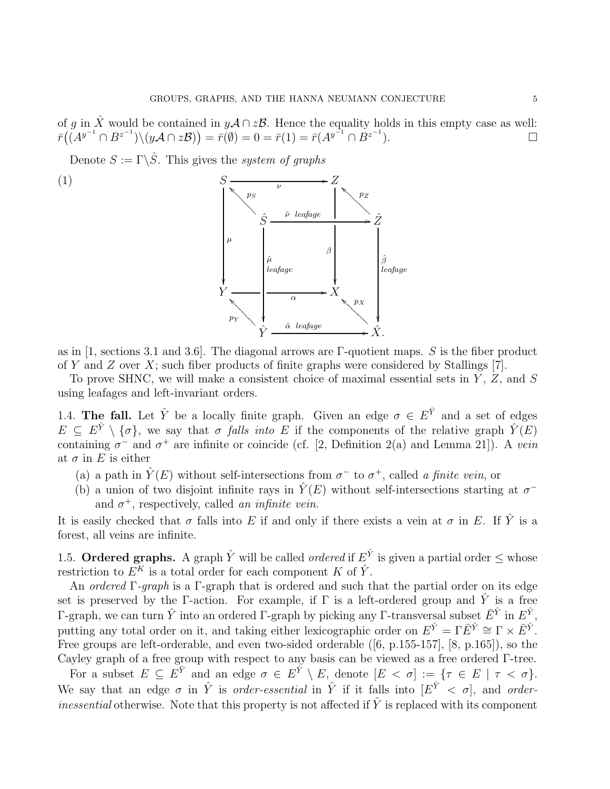of g in  $\hat{X}$  would be contained in  $y\mathcal{A} \cap z\mathcal{B}$ . Hence the equality holds in this empty case as well:  $\bar{r}(\check{({A}}^{y^{-1}}\cap B^{z^{-1}})\backslash (y{\cal A}\cap z{\cal B}))=\bar{r}(\emptyset)=0=\bar{r}(1)=\bar{r}({A}^{y^{-1}}\cap B^{z^{-1}}).$ 

Denote  $S := \Gamma \backslash \hat{S}$ . This gives the *system of graphs* 

(1)  $S \frac{\nu}{\nu}$ /  $\mu$  $\frac{1}{2}$ Z β  $\overline{\phantom{a}}$  $\hat{S}$  $p_S$  $\bigvee$  $\hat{\mu}$ leafage ľ ν leafage ˆ /Zˆ pZ  $\bigwedge^p Z$  $\hat{\beta}$ leafage ľ  $Y \longrightarrow \boldsymbol{X}$  $\hat{Y}$  $p_Y$  $\mathbb{R}$  $\hat{\alpha}$  leafage  $\hat{X}$ .  $p_X$ `❆❆❆❆❆❆❆❆

as in [1, sections 3.1 and 3.6]. The diagonal arrows are  $\Gamma$ -quotient maps. S is the fiber product of Y and Z over X; such fiber products of finite graphs were considered by Stallings [7].

To prove SHNC, we will make a consistent choice of maximal essential sets in  $Y$ ,  $Z$ , and  $S$ using leafages and left-invariant orders.

1.4. The fall. Let  $\hat{Y}$  be a locally finite graph. Given an edge  $\sigma \in E^{\hat{Y}}$  and a set of edges  $E \subseteq E^{\hat{Y}} \setminus \{\sigma\}$ , we say that  $\sigma$  falls into E if the components of the relative graph  $\hat{Y}(E)$ containing  $\sigma^-$  and  $\sigma^+$  are infinite or coincide (cf. [2, Definition 2(a) and Lemma 21]). A vein at  $\sigma$  in E is either

- (a) a path in  $\hat{Y}(E)$  without self-intersections from  $\sigma^-$  to  $\sigma^+$ , called a finite vein, or
- (b) a union of two disjoint infinite rays in  $\hat{Y}(E)$  without self-intersections starting at  $\sigma^$ and  $\sigma^+$ , respectively, called an infinite vein.

It is easily checked that  $\sigma$  falls into E if and only if there exists a vein at  $\sigma$  in E. If  $\hat{Y}$  is a forest, all veins are infinite.

1.5. Ordered graphs. A graph  $\hat{Y}$  will be called *ordered* if  $E^{\hat{Y}}$  is given a partial order  $\leq$  whose restriction to  $E^K$  is a total order for each component K of  $\hat{Y}$ .

An ordered Γ-graph is a Γ-graph that is ordered and such that the partial order on its edge set is preserved by the Γ-action. For example, if  $\Gamma$  is a left-ordered group and  $\tilde{Y}$  is a free Γ-graph, we can turn  $\hat{Y}$  into an ordered Γ-graph by picking any Γ-transversal subset  $\bar{E}^{\hat{Y}}$  in  $E^{\hat{Y}},$ putting any total order on it, and taking either lexicographic order on  $E^{\hat{Y}} = \Gamma \bar{E}^{\hat{Y}} \cong \Gamma \times \bar{E}^{\hat{Y}}$ . Free groups are left-orderable, and even two-sided orderable ([6, p.155-157], [8, p.165]), so the Cayley graph of a free group with respect to any basis can be viewed as a free ordered Γ-tree.

For a subset  $E \subseteq E^{\hat{Y}}$  and an edge  $\sigma \in E^{\hat{Y}} \setminus E$ , denote  $[E \lt \sigma] := \{ \tau \in E \mid \tau \lt \sigma \}.$ We say that an edge  $\sigma$  in  $\hat{Y}$  is *order-essential* in  $\hat{Y}$  if it falls into  $\left|E^{\hat{Y}}\right| < \sigma$ , and *orderinessential* otherwise. Note that this property is not affected if  $\hat{Y}$  is replaced with its component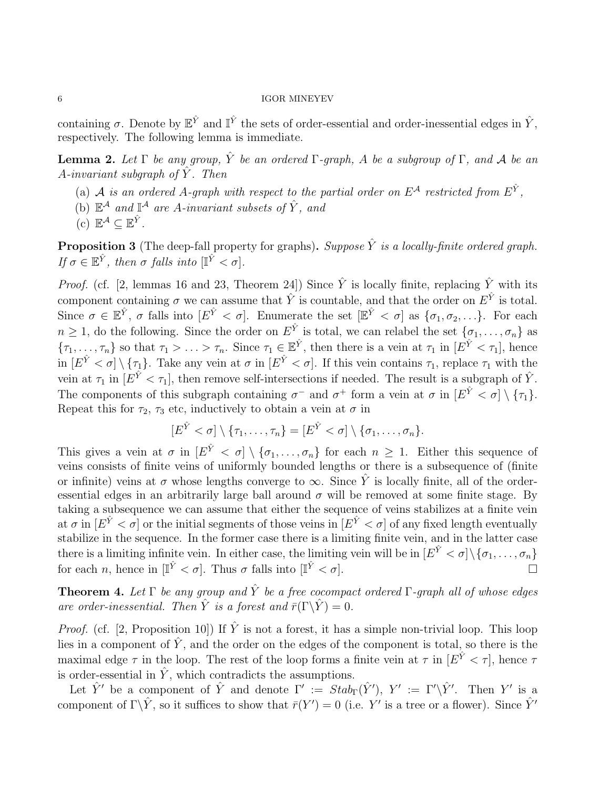containing  $\sigma$ . Denote by  $\mathbb{E}^{\hat{Y}}$  and  $\mathbb{I}^{\hat{Y}}$  the sets of order-essential and order-inessential edges in  $\hat{Y}$ , respectively. The following lemma is immediate.

**Lemma 2.** Let  $\Gamma$  be any group,  $\hat{Y}$  be an ordered  $\Gamma$ -graph, A be a subgroup of  $\Gamma$ , and A be an A-invariant subgraph of  $Y$ . Then

- (a) A is an ordered A-graph with respect to the partial order on  $E^{\mathcal{A}}$  restricted from  $E^{\hat{Y}}$ ,
- (b)  $\mathbb{E}^{\mathcal{A}}$  and  $\mathbb{I}^{\mathcal{A}}$  are A-invariant subsets of  $\hat{Y}$ , and
- (c)  $\mathbb{E}^{\mathcal{A}} \subseteq \mathbb{E}^{\hat{Y}}$ .

**Proposition 3** (The deep-fall property for graphs). Suppose  $\hat{Y}$  is a locally-finite ordered graph. If  $\sigma \in \mathbb{E}^{\hat{Y}}$ , then  $\sigma$  falls into  $[\mathbb{I}^{\hat{Y}} < \sigma]$ .

*Proof.* (cf. [2, lemmas 16 and 23, Theorem 24]) Since  $\hat{Y}$  is locally finite, replacing  $\hat{Y}$  with its component containing  $\sigma$  we can assume that  $\hat{Y}$  is countable, and that the order on  $E^{\hat{Y}}$  is total. Since  $\sigma \in \mathbb{E}^{\hat{Y}}$ ,  $\sigma$  falls into  $[E^{\hat{Y}} < \sigma]$ . Enumerate the set  $[\mathbb{E}^{\hat{Y}} < \sigma]$  as  $\{\sigma_1, \sigma_2, \ldots\}$ . For each  $n \geq 1$ , do the following. Since the order on  $E^{\hat{Y}}$  is total, we can relabel the set  $\{\sigma_1, \ldots, \sigma_n\}$  as  $\{\tau_1,\ldots,\tau_n\}$  so that  $\tau_1 > \ldots > \tau_n$ . Since  $\tau_1 \in \mathbb{E}^{\hat{Y}}$ , then there is a vein at  $\tau_1$  in  $[E^{\hat{Y}} < \tau_1]$ , hence in  $[E^{\hat{Y}} < \sigma] \setminus {\tau_1}$ . Take any vein at  $\sigma$  in  $[E^{\hat{Y}} < \sigma]$ . If this vein contains  $\tau_1$ , replace  $\tau_1$  with the vein at  $\tau_1$  in  $[E^{\hat{Y}} < \tau_1]$ , then remove self-intersections if needed. The result is a subgraph of  $\hat{Y}$ . The components of this subgraph containing  $\sigma^-$  and  $\sigma^+$  form a vein at  $\sigma$  in  $[E^{\hat{Y}} < \sigma] \setminus {\tau_1}$ . Repeat this for  $\tau_2$ ,  $\tau_3$  etc, inductively to obtain a vein at  $\sigma$  in

$$
[E^{\hat{Y}} < \sigma] \setminus \{\tau_1, \ldots, \tau_n\} = [E^{\hat{Y}} < \sigma] \setminus \{\sigma_1, \ldots, \sigma_n\}.
$$

This gives a vein at  $\sigma$  in  $[E^{\hat{Y}} < \sigma] \setminus {\sigma_1, \ldots, \sigma_n}$  for each  $n \geq 1$ . Either this sequence of veins consists of finite veins of uniformly bounded lengths or there is a subsequence of (finite or infinite) veins at  $\sigma$  whose lengths converge to  $\infty$ . Since  $\hat{Y}$  is locally finite, all of the orderessential edges in an arbitrarily large ball around  $\sigma$  will be removed at some finite stage. By taking a subsequence we can assume that either the sequence of veins stabilizes at a finite vein at  $\sigma$  in  $[E^{\hat{Y}} < \sigma]$  or the initial segments of those veins in  $[E^{\hat{Y}} < \sigma]$  of any fixed length eventually stabilize in the sequence. In the former case there is a limiting finite vein, and in the latter case there is a limiting infinite vein. In either case, the limiting vein will be in  $[E^Y < \sigma] \setminus {\sigma_1, \ldots, \sigma_n}$ for each *n*, hence in  $[\mathbb{I}^{\hat{Y}} < \sigma]$ . Thus  $\sigma$  falls into  $[\mathbb{I}^{\hat{Y}} < \sigma]$ .

**Theorem 4.** Let  $\Gamma$  be any group and  $\hat{Y}$  be a free cocompact ordered  $\Gamma$ -graph all of whose edges are order-inessential. Then  $\hat{Y}$  is a forest and  $\bar{r}(\Gamma \backslash \hat{Y}) = 0$ .

*Proof.* (cf. [2, Proposition 10]) If  $\hat{Y}$  is not a forest, it has a simple non-trivial loop. This loop lies in a component of  $\hat{Y}$ , and the order on the edges of the component is total, so there is the maximal edge  $\tau$  in the loop. The rest of the loop forms a finite vein at  $\tau$  in  $[E^{\hat{Y}} < \tau]$ , hence  $\tau$ is order-essential in  $\hat{Y}$ , which contradicts the assumptions.

Let  $\hat{Y}'$  be a component of  $\hat{Y}$  and denote  $\Gamma' := \text{Stab}_{\Gamma}(\hat{Y}')$ ,  $Y' := \Gamma' \backslash \hat{Y}'$ . Then Y' is a component of  $\Gamma \backslash \hat{Y}$ , so it suffices to show that  $\bar{r}(Y') = 0$  (i.e. Y' is a tree or a flower). Since  $\hat{Y}'$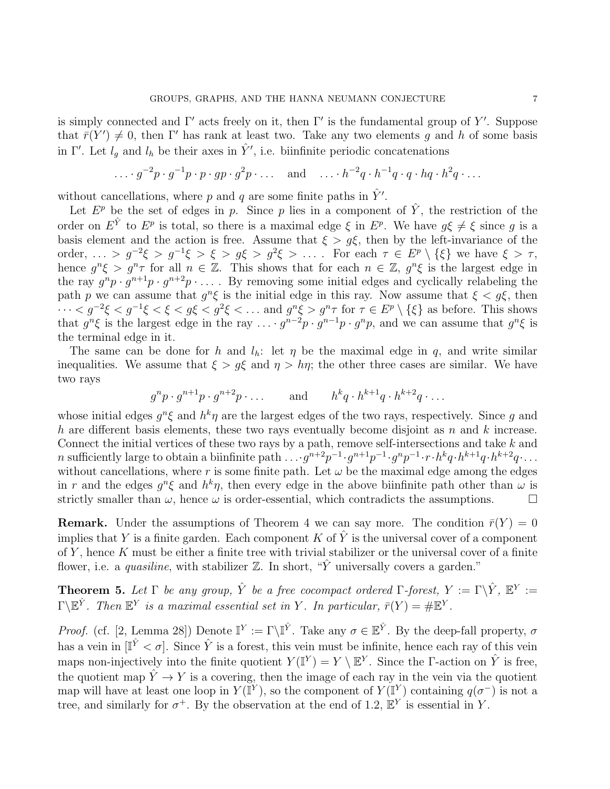is simply connected and  $\Gamma'$  acts freely on it, then  $\Gamma'$  is the fundamental group of Y'. Suppose that  $\bar{r}(Y') \neq 0$ , then  $\Gamma'$  has rank at least two. Take any two elements g and h of some basis in Γ'. Let  $l_g$  and  $l_h$  be their axes in  $\hat{Y}'$ , i.e. biinfinite periodic concatenations

$$
\dots \cdot g^{-2}p \cdot g^{-1}p \cdot p \cdot gp \cdot g^2p \cdot \dots
$$
 and 
$$
\dots \cdot h^{-2}q \cdot h^{-1}q \cdot q \cdot hq \cdot h^2q \cdot \dots
$$

without cancellations, where p and q are some finite paths in  $\hat{Y}'$ .

Let  $E^p$  be the set of edges in p. Since p lies in a component of  $\hat{Y}$ , the restriction of the order on  $E^{\hat{Y}}$  to  $E^p$  is total, so there is a maximal edge  $\xi$  in  $E^p$ . We have  $g\xi \neq \xi$  since g is a basis element and the action is free. Assume that  $\xi > g\xi$ , then by the left-invariance of the order, ... >  $g^{-2}\xi > g^{-1}\xi > \xi > g\xi > g^2\xi > \ldots$ . For each  $\tau \in E^p \setminus {\xi}$  we have  $\xi > \tau$ , hence  $g^n \xi > g^n \tau$  for all  $n \in \mathbb{Z}$ . This shows that for each  $n \in \mathbb{Z}$ ,  $g^n \xi$  is the largest edge in the ray  $g^n p \cdot g^{n+1} p \cdot g^{n+2} p \cdot \ldots$ . By removing some initial edges and cyclically relabeling the path p we can assume that  $g^n \xi$  is the initial edge in this ray. Now assume that  $\xi < g \xi$ , then  $\cdots < g^{-2}\xi < g^{-1}\xi < \xi < g\xi < g^2\xi < \dots$  and  $g^n\xi > g^n\tau$  for  $\tau \in E^p \setminus {\xi}$  as before. This shows that  $g^n \xi$  is the largest edge in the ray  $\ldots \cdot g^{n-2}p \cdot g^{n-1}p \cdot g^n p$ , and we can assume that  $g^n \xi$  is the terminal edge in it.

The same can be done for h and  $l_h$ : let  $\eta$  be the maximal edge in q, and write similar inequalities. We assume that  $\xi > g\xi$  and  $\eta > h\eta$ ; the other three cases are similar. We have two rays

$$
g^np \cdot g^{n+1}p \cdot g^{n+2}p \cdot \ldots
$$
 and  $h^kq \cdot h^{k+1}q \cdot h^{k+2}q \cdot \ldots$ 

whose initial edges  $g^n \xi$  and  $h^k \eta$  are the largest edges of the two rays, respectively. Since g and h are different basis elements, these two rays eventually become disjoint as  $n$  and  $k$  increase. Connect the initial vertices of these two rays by a path, remove self-intersections and take k and n sufficiently large to obtain a biinfinite path  $\ldots$   $q^{n+2}p^{-1}\cdot q^{n+1}p^{-1}\cdot q^{n}p^{-1}\cdot r\cdot h^kq\cdot h^{k+1}q\cdot h^{k+2}q\cdot\ldots$ without cancellations, where r is some finite path. Let  $\omega$  be the maximal edge among the edges in r and the edges  $g^n \xi$  and  $h^k \eta$ , then every edge in the above biinfinite path other than  $\omega$  is strictly smaller than  $\omega$ , hence  $\omega$  is order-essential, which contradicts the assumptions.

**Remark.** Under the assumptions of Theorem 4 we can say more. The condition  $\bar{r}(Y) = 0$ implies that Y is a finite garden. Each component K of  $\hat{Y}$  is the universal cover of a component of Y, hence  $K$  must be either a finite tree with trivial stabilizer or the universal cover of a finite flower, i.e. a *quasiline*, with stabilizer  $\mathbb{Z}$ . In short, " $\hat{Y}$  universally covers a garden."

**Theorem 5.** Let  $\Gamma$  be any group,  $\hat{Y}$  be a free cocompact ordered  $\Gamma$ -forest,  $Y := \Gamma \backslash \hat{Y}$ ,  $\mathbb{E}^{Y} :=$  $\Gamma \backslash \mathbb{E}^{\hat{Y}}$ . Then  $\mathbb{E}^Y$  is a maximal essential set in Y. In particular,  $\bar{r}(Y) = \# \mathbb{E}^Y$ .

*Proof.* (cf. [2, Lemma 28]) Denote  $\mathbb{I}^Y := \Gamma \backslash \mathbb{I}^{\hat{Y}}$ . Take any  $\sigma \in \mathbb{E}^{\hat{Y}}$ . By the deep-fall property,  $\sigma$ has a vein in  $[\mathbb{I}^{\hat{Y}}<\sigma]$ . Since  $\hat{Y}$  is a forest, this vein must be infinite, hence each ray of this vein maps non-injectively into the finite quotient  $Y(\mathbb{I}^Y) = Y \setminus \mathbb{E}^Y$ . Since the *Γ*-action on  $\hat{Y}$  is free, the quotient map  $\hat{Y} \to Y$  is a covering, then the image of each ray in the vein via the quotient map will have at least one loop in  $Y(\mathbb{I}^Y)$ , so the component of  $Y(\mathbb{I}^Y)$  containing  $q(\sigma^-)$  is not a tree, and similarly for  $\sigma^+$ . By the observation at the end of 1.2,  $\mathbb{E}^{Y}$  is essential in Y.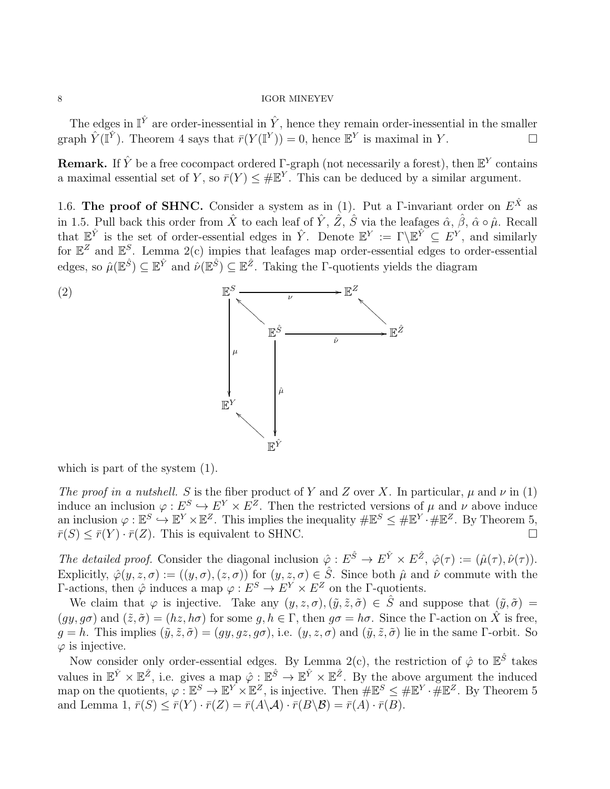The edges in  $\mathbb{I}^{\hat{Y}}$  are order-inessential in  $\hat{Y}$ , hence they remain order-inessential in the smaller graph  $\hat{Y}(\mathbb{I}^{\hat{Y}})$ . Theorem 4 says that  $\bar{r}(Y(\mathbb{I}^Y)) = 0$ , hence  $\mathbb{E}^Y$  is maximal in Y.

**Remark.** If  $\hat{Y}$  be a free cocompact ordered  $\Gamma$ -graph (not necessarily a forest), then  $\mathbb{E}^{Y}$  contains a maximal essential set of Y, so  $\bar{r}(Y) \leq \# \mathbb{E}^{Y}$ . This can be deduced by a similar argument.

1.6. The proof of SHNC. Consider a system as in (1). Put a  $\Gamma$ -invariant order on  $E^{\hat{X}}$  as in 1.5. Pull back this order from  $\hat{X}$  to each leaf of  $\hat{Y}$ ,  $\hat{Z}$ ,  $\hat{S}$  via the leafages  $\hat{\alpha}$ ,  $\hat{\beta}$ ,  $\hat{\alpha} \circ \hat{\mu}$ . Recall that  $\mathbb{E}^{\hat{Y}}$  is the set of order-essential edges in  $\hat{Y}$ . Denote  $\mathbb{E}^{Y} := \Gamma \backslash \mathbb{E}^{\hat{Y}} \subseteq E^{Y}$ , and similarly for  $\mathbb{E}^Z$  and  $\mathbb{E}^S$ . Lemma 2(c) impies that leafages map order-essential edges to order-essential edges, so  $\hat{\mu}(\mathbb{E}^{\hat{S}}) \subseteq \mathbb{E}^{\hat{Y}}$  and  $\hat{\nu}(\mathbb{E}^{\hat{S}}) \subseteq \mathbb{E}^{\hat{Z}}$ . Taking the  $\Gamma$ -quotients yields the diagram



which is part of the system  $(1)$ .

The proof in a nutshell. S is the fiber product of Y and Z over X. In particular,  $\mu$  and  $\nu$  in (1) induce an inclusion  $\varphi: E^S \hookrightarrow E^Y \times E^Z$ . Then the restricted versions of  $\mu$  and  $\nu$  above induce an inclusion  $\varphi : \mathbb{E}^S \to \mathbb{E}^Y \times \mathbb{E}^Z$ . This implies the inequality  $\#\mathbb{E}^S \leq \#\mathbb{E}^Y \cdot \#\mathbb{E}^Z$ . By Theorem 5,  $\overline{r}(S) \leq \overline{r}(Y) \cdot \overline{r}(Z)$ . This is equivalent to SHNC.

The detailed proof. Consider the diagonal inclusion  $\hat{\varphi}: E^{\hat{S}} \to E^{\hat{Y}} \times E^{\hat{Z}}$ ,  $\hat{\varphi}(\tau) := (\hat{\mu}(\tau), \hat{\nu}(\tau))$ . Explicitly,  $\hat{\varphi}(y, z, \sigma) := ((y, \sigma), (z, \sigma))$  for  $(y, z, \sigma) \in \hat{S}$ . Since both  $\hat{\mu}$  and  $\hat{\nu}$  commute with the Γ-actions, then  $\hat{\varphi}$  induces a map  $\varphi : E^S \to E^Y \times E^Z$  on the Γ-quotients.

We claim that  $\varphi$  is injective. Take any  $(y, z, \sigma)$ ,  $(\tilde{y}, \tilde{z}, \tilde{\sigma}) \in \hat{S}$  and suppose that  $(\tilde{y}, \tilde{\sigma}) =$  $(gy, g\sigma)$  and  $(\tilde{z}, \tilde{\sigma}) = (hz, h\sigma)$  for some  $g, h \in \Gamma$ , then  $g\sigma = h\sigma$ . Since the *Γ*-action on  $\tilde{X}$  is free,  $g = h$ . This implies  $(\tilde{y}, \tilde{z}, \tilde{\sigma}) = (gy, gz, g\sigma)$ , i.e.  $(y, z, \sigma)$  and  $(\tilde{y}, \tilde{z}, \tilde{\sigma})$  lie in the same Γ-orbit. So  $\varphi$  is injective.

Now consider only order-essential edges. By Lemma 2(c), the restriction of  $\hat{\varphi}$  to  $\mathbb{E}^{\hat{S}}$  takes values in  $\mathbb{E}^{\hat{Y}} \times \mathbb{E}^{\hat{Z}}$ , i.e. gives a map  $\hat{\varphi} : \mathbb{E}^{\hat{S}} \to \mathbb{E}^{\hat{Y}} \times \mathbb{E}^{\hat{Z}}$ . By the above argument the induced map on the quotients,  $\varphi : \mathbb{E}^S \to \mathbb{E}^Y \times \mathbb{E}^Z$ , is injective. Then  $\# \mathbb{E}^S \leq \# \mathbb{E}^Y \cdot \# \mathbb{E}^Z$ . By Theorem 5 and Lemma 1,  $\bar{r}(S) \leq \bar{r}(Y) \cdot \bar{r}(Z) = \bar{r}(A \setminus \mathcal{A}) \cdot \bar{r}(B \setminus \mathcal{B}) = \bar{r}(A) \cdot \bar{r}(B)$ .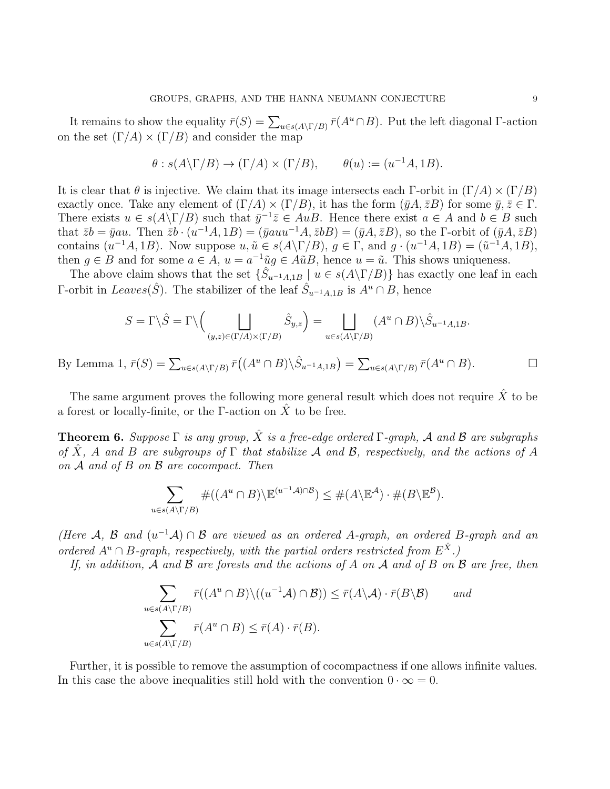It remains to show the equality  $\bar{r}(S) = \sum_{u \in s(A \setminus \Gamma/B)} \bar{r}(A^u \cap B)$ . Put the left diagonal Γ-action on the set  $(\Gamma/A) \times (\Gamma/B)$  and consider the map

$$
\theta : s(A \backslash \Gamma/B) \to (\Gamma/A) \times (\Gamma/B), \qquad \theta(u) := (u^{-1}A, 1B).
$$

It is clear that  $\theta$  is injective. We claim that its image intersects each Γ-orbit in  $(\Gamma/A) \times (\Gamma/B)$ exactly once. Take any element of  $(\Gamma/A) \times (\Gamma/B)$ , it has the form  $(\bar{y}A, \bar{z}B)$  for some  $\bar{y}, \bar{z} \in \Gamma$ . There exists  $u \in s(A \backslash \Gamma/B)$  such that  $\bar{y}^{-1} \bar{z} \in AuB$ . Hence there exist  $a \in A$  and  $b \in B$  such that  $\bar{z}b = \bar{y}au$ . Then  $\bar{z}b \cdot (u^{-1}A, 1B) = (\bar{y}auu^{-1}A, \bar{z}bB) = (\bar{y}A, \bar{z}B)$ , so the *Γ*-orbit of  $(\bar{y}A, \bar{z}B)$ contains  $(u^{-1}A, 1B)$ . Now suppose  $u, \tilde{u} \in s(A \setminus \Gamma/B)$ ,  $g \in \Gamma$ , and  $g \cdot (u^{-1}A, 1B) = (\tilde{u}^{-1}A, 1B)$ , then  $g \in B$  and for some  $a \in A$ ,  $u = a^{-1}\tilde{u}g \in A\tilde{u}B$ , hence  $u = \tilde{u}$ . This shows uniqueness.

The above claim shows that the set  $\{\hat{S}_{u^{-1}A,1B} \mid u \in s(A \setminus \Gamma/B)\}\$  has exactly one leaf in each  $\Gamma$ -orbit in  $Leaves(\hat{S})$ . The stabilizer of the leaf  $\hat{S}_{u^{-1}A,1B}$  is  $A^u \cap B$ , hence

$$
S = \Gamma \backslash \hat{S} = \Gamma \backslash \left( \bigsqcup_{(y,z) \in (\Gamma/A) \times (\Gamma/B)} \hat{S}_{y,z} \right) = \bigsqcup_{u \in s(A \backslash \Gamma/B)} (A^u \cap B) \backslash \hat{S}_{u^{-1}A,1B}.
$$

By Lemma 1,  $\bar{r}(S) = \sum_{u \in s(A \setminus \Gamma/B)} \bar{r}((A^u \cap B) \setminus \hat{S}_{u^{-1}A,1B}) = \sum_{u \in s(A \setminus \Gamma/B)} \bar{r}(A^u \cap B).$ 

The same argument proves the following more general result which does not require  $\hat{X}$  to be a forest or locally-finite, or the Γ-action on  $\hat{X}$  to be free.

**Theorem 6.** Suppose  $\Gamma$  is any group,  $\hat{X}$  is a free-edge ordered  $\Gamma$ -graph, A and B are subgraphs of  $\hat{X}$ , A and B are subgroups of  $\Gamma$  that stabilize A and B, respectively, and the actions of A on  $A$  and of  $B$  on  $B$  are cocompact. Then

$$
\sum_{u \in s(A \setminus \Gamma/B)} \#((A^u \cap B) \setminus \mathbb{E}^{(u^{-1}A) \cap B}) \leq \#(A \setminus \mathbb{E}^A) \cdot \#(B \setminus \mathbb{E}^B).
$$

(Here A, B and  $(u^{-1}A) \cap B$  are viewed as an ordered A-graph, an ordered B-graph and an ordered  $A^u \cap B$ -graph, respectively, with the partial orders restricted from  $E^{\hat{X}}$ .)

If, in addition, A and B are forests and the actions of A on A and of B on B are free, then

$$
\sum_{u \in s(A \setminus \Gamma/B)} \bar{r}((A^u \cap B) \setminus ((u^{-1}A) \cap B)) \le \bar{r}(A \setminus A) \cdot \bar{r}(B \setminus B) \quad and
$$
  

$$
\sum_{u \in s(A \setminus \Gamma/B)} \bar{r}(A^u \cap B) \le \bar{r}(A) \cdot \bar{r}(B).
$$

Further, it is possible to remove the assumption of cocompactness if one allows infinite values. In this case the above inequalities still hold with the convention  $0 \cdot \infty = 0$ .